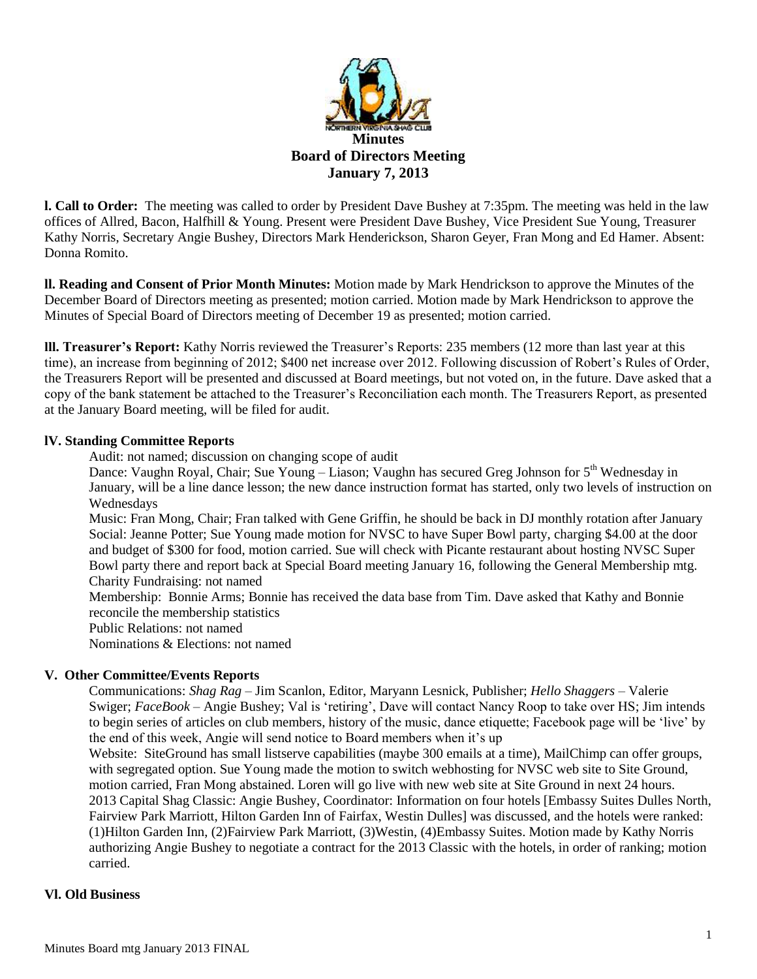

**l. Call to Order:** The meeting was called to order by President Dave Bushey at 7:35pm. The meeting was held in the law offices of Allred, Bacon, Halfhill & Young. Present were President Dave Bushey, Vice President Sue Young, Treasurer Kathy Norris, Secretary Angie Bushey, Directors Mark Henderickson, Sharon Geyer, Fran Mong and Ed Hamer. Absent: Donna Romito.

**ll. Reading and Consent of Prior Month Minutes:** Motion made by Mark Hendrickson to approve the Minutes of the December Board of Directors meeting as presented; motion carried. Motion made by Mark Hendrickson to approve the Minutes of Special Board of Directors meeting of December 19 as presented; motion carried.

**lll. Treasurer's Report:** Kathy Norris reviewed the Treasurer's Reports: 235 members (12 more than last year at this time), an increase from beginning of 2012; \$400 net increase over 2012. Following discussion of Robert's Rules of Order, the Treasurers Report will be presented and discussed at Board meetings, but not voted on, in the future. Dave asked that a copy of the bank statement be attached to the Treasurer's Reconciliation each month. The Treasurers Report, as presented at the January Board meeting, will be filed for audit.

### **lV. Standing Committee Reports**

Audit: not named; discussion on changing scope of audit

Dance: Vaughn Royal, Chair; Sue Young – Liason; Vaughn has secured Greg Johnson for 5<sup>th</sup> Wednesday in January, will be a line dance lesson; the new dance instruction format has started, only two levels of instruction on Wednesdays

Music: Fran Mong, Chair; Fran talked with Gene Griffin, he should be back in DJ monthly rotation after January Social: Jeanne Potter; Sue Young made motion for NVSC to have Super Bowl party, charging \$4.00 at the door and budget of \$300 for food, motion carried. Sue will check with Picante restaurant about hosting NVSC Super Bowl party there and report back at Special Board meeting January 16, following the General Membership mtg. Charity Fundraising: not named

Membership: Bonnie Arms; Bonnie has received the data base from Tim. Dave asked that Kathy and Bonnie reconcile the membership statistics

Public Relations: not named

Nominations & Elections: not named

### **V. Other Committee/Events Reports**

Communications: *Shag Rag* – Jim Scanlon, Editor, Maryann Lesnick, Publisher; *Hello Shaggers* – Valerie Swiger; *FaceBook* – Angie Bushey; Val is 'retiring', Dave will contact Nancy Roop to take over HS; Jim intends to begin series of articles on club members, history of the music, dance etiquette; Facebook page will be 'live' by the end of this week, Angie will send notice to Board members when it's up

Website: SiteGround has small listserve capabilities (maybe 300 emails at a time), MailChimp can offer groups, with segregated option. Sue Young made the motion to switch webhosting for NVSC web site to Site Ground, motion carried, Fran Mong abstained. Loren will go live with new web site at Site Ground in next 24 hours. 2013 Capital Shag Classic: Angie Bushey, Coordinator: Information on four hotels [Embassy Suites Dulles North, Fairview Park Marriott, Hilton Garden Inn of Fairfax, Westin Dulles] was discussed, and the hotels were ranked: (1)Hilton Garden Inn, (2)Fairview Park Marriott, (3)Westin, (4)Embassy Suites. Motion made by Kathy Norris authorizing Angie Bushey to negotiate a contract for the 2013 Classic with the hotels, in order of ranking; motion carried.

### **Vl. Old Business**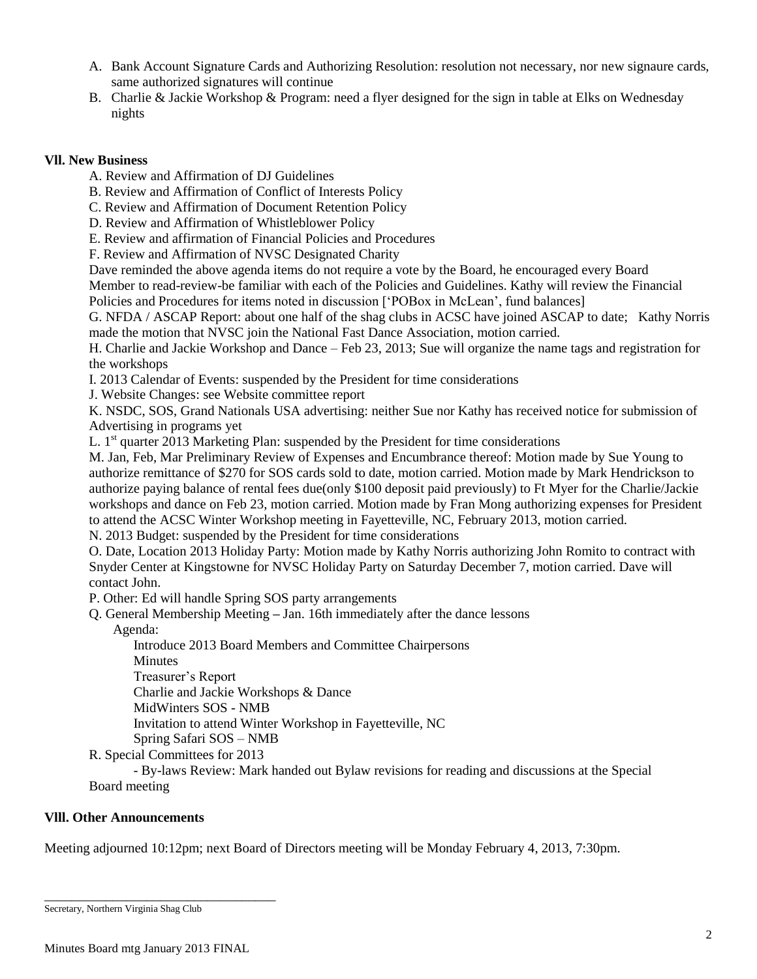- A. Bank Account Signature Cards and Authorizing Resolution: resolution not necessary, nor new signaure cards, same authorized signatures will continue
- B. Charlie & Jackie Workshop & Program: need a flyer designed for the sign in table at Elks on Wednesday nights

## **Vll. New Business**

A. Review and Affirmation of DJ Guidelines

B. Review and Affirmation of Conflict of Interests Policy

C. Review and Affirmation of Document Retention Policy

D. Review and Affirmation of Whistleblower Policy

E. Review and affirmation of Financial Policies and Procedures

F. Review and Affirmation of NVSC Designated Charity

Dave reminded the above agenda items do not require a vote by the Board, he encouraged every Board Member to read-review-be familiar with each of the Policies and Guidelines. Kathy will review the Financial

Policies and Procedures for items noted in discussion ['POBox in McLean', fund balances]

G. NFDA / ASCAP Report: about one half of the shag clubs in ACSC have joined ASCAP to date; Kathy Norris made the motion that NVSC join the National Fast Dance Association, motion carried.

H. Charlie and Jackie Workshop and Dance – Feb 23, 2013; Sue will organize the name tags and registration for the workshops

I. 2013 Calendar of Events: suspended by the President for time considerations

J. Website Changes: see Website committee report

K. NSDC, SOS, Grand Nationals USA advertising: neither Sue nor Kathy has received notice for submission of Advertising in programs yet

L.  $1<sup>st</sup>$  quarter 2013 Marketing Plan: suspended by the President for time considerations

M. Jan, Feb, Mar Preliminary Review of Expenses and Encumbrance thereof: Motion made by Sue Young to authorize remittance of \$270 for SOS cards sold to date, motion carried. Motion made by Mark Hendrickson to authorize paying balance of rental fees due(only \$100 deposit paid previously) to Ft Myer for the Charlie/Jackie workshops and dance on Feb 23, motion carried. Motion made by Fran Mong authorizing expenses for President to attend the ACSC Winter Workshop meeting in Fayetteville, NC, February 2013, motion carried.

N. 2013 Budget: suspended by the President for time considerations

O. Date, Location 2013 Holiday Party: Motion made by Kathy Norris authorizing John Romito to contract with Snyder Center at Kingstowne for NVSC Holiday Party on Saturday December 7, motion carried. Dave will contact John.

P. Other: Ed will handle Spring SOS party arrangements

Q. General Membership Meeting **–** Jan. 16th immediately after the dance lessons

Agenda:

Introduce 2013 Board Members and Committee Chairpersons Minutes

Treasurer's Report

Charlie and Jackie Workshops & Dance

MidWinters SOS - NMB

Invitation to attend Winter Workshop in Fayetteville, NC

Spring Safari SOS – NMB

R. Special Committees for 2013

- By-laws Review: Mark handed out Bylaw revisions for reading and discussions at the Special Board meeting

# **Vlll. Other Announcements**

Meeting adjourned 10:12pm; next Board of Directors meeting will be Monday February 4, 2013, 7:30pm.

\_\_\_\_\_\_\_\_\_\_\_\_\_\_\_\_\_\_\_\_\_\_\_\_\_\_\_\_\_\_\_\_\_\_

Secretary, Northern Virginia Shag Club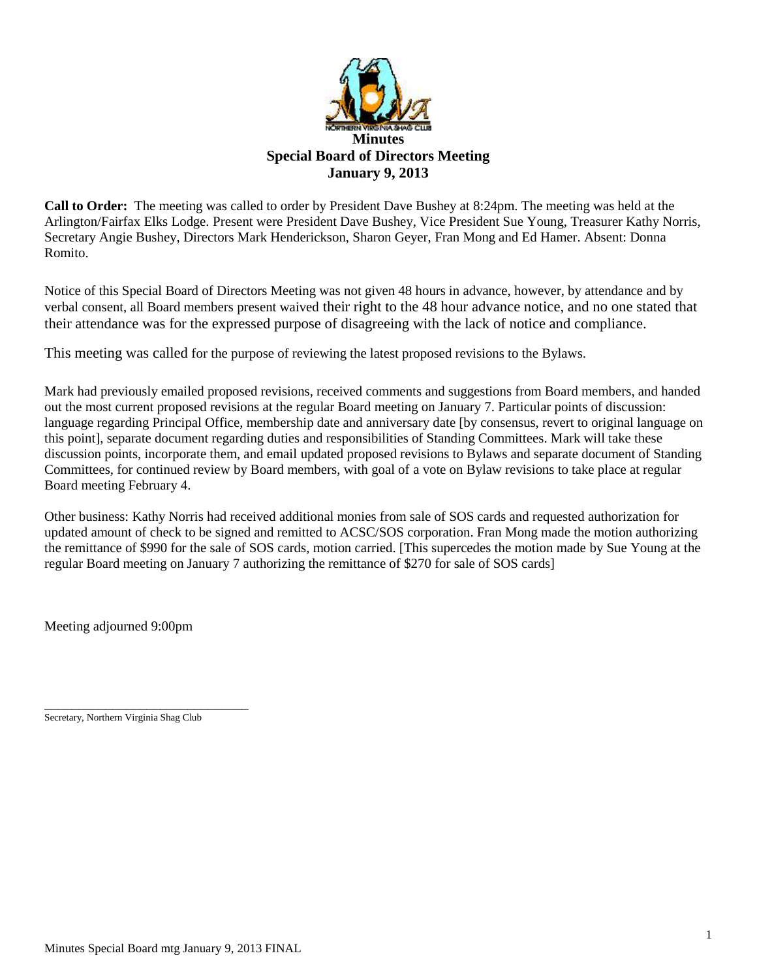

**Call to Order:** The meeting was called to order by President Dave Bushey at 8:24pm. The meeting was held at the Arlington/Fairfax Elks Lodge. Present were President Dave Bushey, Vice President Sue Young, Treasurer Kathy Norris, Secretary Angie Bushey, Directors Mark Henderickson, Sharon Geyer, Fran Mong and Ed Hamer. Absent: Donna Romito.

Notice of this Special Board of Directors Meeting was not given 48 hours in advance, however, by attendance and by verbal consent, all Board members present waived their right to the 48 hour advance notice, and no one stated that their attendance was for the expressed purpose of disagreeing with the lack of notice and compliance.

This meeting was called for the purpose of reviewing the latest proposed revisions to the Bylaws.

Mark had previously emailed proposed revisions, received comments and suggestions from Board members, and handed out the most current proposed revisions at the regular Board meeting on January 7. Particular points of discussion: language regarding Principal Office, membership date and anniversary date [by consensus, revert to original language on this point], separate document regarding duties and responsibilities of Standing Committees. Mark will take these discussion points, incorporate them, and email updated proposed revisions to Bylaws and separate document of Standing Committees, for continued review by Board members, with goal of a vote on Bylaw revisions to take place at regular Board meeting February 4.

Other business: Kathy Norris had received additional monies from sale of SOS cards and requested authorization for updated amount of check to be signed and remitted to ACSC/SOS corporation. Fran Mong made the motion authorizing the remittance of \$990 for the sale of SOS cards, motion carried. [This supercedes the motion made by Sue Young at the regular Board meeting on January 7 authorizing the remittance of \$270 for sale of SOS cards]

Meeting adjourned 9:00pm

\_\_\_\_\_\_\_\_\_\_\_\_\_\_\_\_\_\_\_\_\_\_\_\_\_\_\_\_\_\_ Secretary, Northern Virginia Shag Club